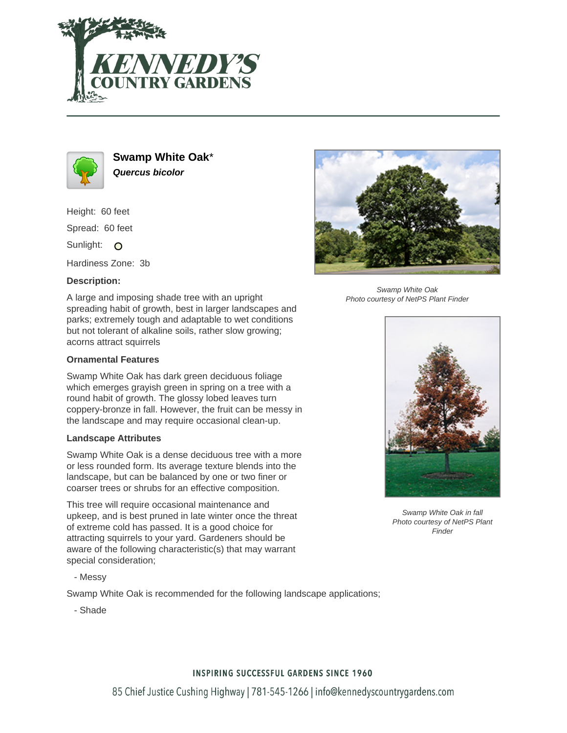



**Swamp White Oak**\* **Quercus bicolor**

Height: 60 feet

Spread: 60 feet

Sunlight: O

Hardiness Zone: 3b

# **Description:**

A large and imposing shade tree with an upright spreading habit of growth, best in larger landscapes and parks; extremely tough and adaptable to wet conditions but not tolerant of alkaline soils, rather slow growing; acorns attract squirrels

# **Ornamental Features**

Swamp White Oak has dark green deciduous foliage which emerges grayish green in spring on a tree with a round habit of growth. The glossy lobed leaves turn coppery-bronze in fall. However, the fruit can be messy in the landscape and may require occasional clean-up.

### **Landscape Attributes**

Swamp White Oak is a dense deciduous tree with a more or less rounded form. Its average texture blends into the landscape, but can be balanced by one or two finer or coarser trees or shrubs for an effective composition.

This tree will require occasional maintenance and upkeep, and is best pruned in late winter once the threat of extreme cold has passed. It is a good choice for attracting squirrels to your yard. Gardeners should be aware of the following characteristic(s) that may warrant special consideration;

- Messy

Swamp White Oak is recommended for the following landscape applications;

- Shade



Swamp White Oak Photo courtesy of NetPS Plant Finder



Swamp White Oak in fall Photo courtesy of NetPS Plant Finder

# **INSPIRING SUCCESSFUL GARDENS SINCE 1960**

85 Chief Justice Cushing Highway | 781-545-1266 | info@kennedyscountrygardens.com